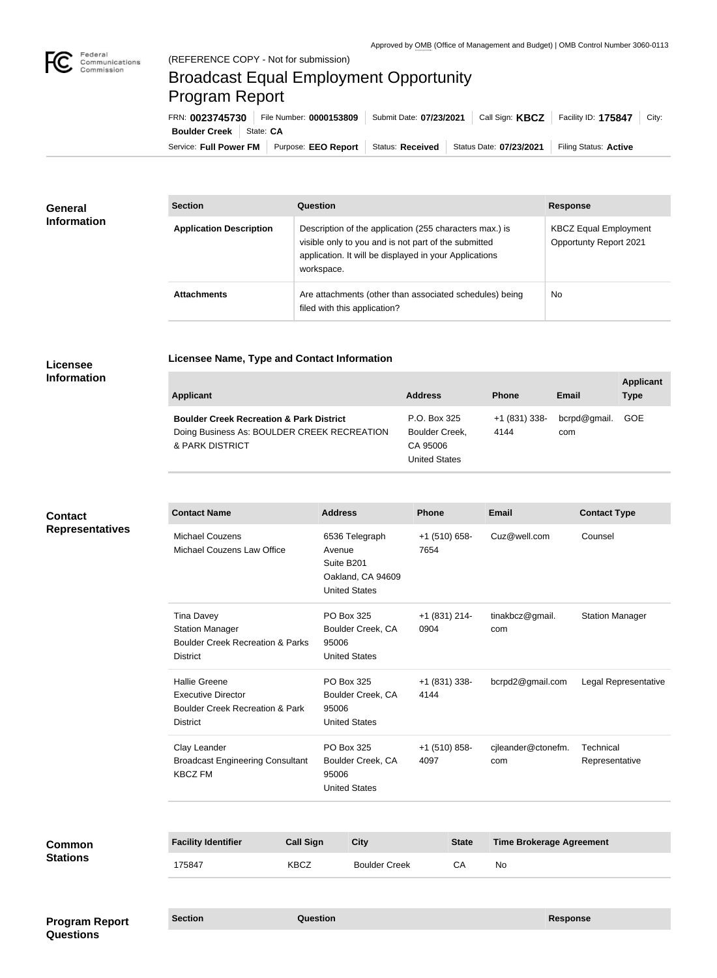

# Broadcast Equal Employment Opportunity Program Report

**Licensee Name, Type and Contact Information**

Service: Full Power FM | Purpose: EEO Report | Status: Received | Status Date: 07/23/2021 | Filing Status: Active **Boulder Creek** State: CA FRN: **0023745730** File Number: **0000153809** Submit Date: **07/23/2021** Call Sign: **KBCZ** Facility ID: **175847** City:

| <b>General</b><br><b>Information</b> | <b>Section</b>                 | <b>Question</b>                                                                                                                                                                         | <b>Response</b>                                        |  |
|--------------------------------------|--------------------------------|-----------------------------------------------------------------------------------------------------------------------------------------------------------------------------------------|--------------------------------------------------------|--|
|                                      | <b>Application Description</b> | Description of the application (255 characters max.) is<br>visible only to you and is not part of the submitted<br>application. It will be displayed in your Applications<br>workspace. | <b>KBCZ Equal Employment</b><br>Opportunty Report 2021 |  |
|                                      | <b>Attachments</b>             | Are attachments (other than associated schedules) being<br>filed with this application?                                                                                                 | <b>No</b>                                              |  |

## **Licensee Information**

| <b>Applicant</b>                                                                                                      | <b>Address</b>                                                     | <b>Phone</b>          | Email               | <b>Applicant</b><br><b>Type</b> |
|-----------------------------------------------------------------------------------------------------------------------|--------------------------------------------------------------------|-----------------------|---------------------|---------------------------------|
| <b>Boulder Creek Recreation &amp; Park District</b><br>Doing Business As: BOULDER CREEK RECREATION<br>& PARK DISTRICT | P.O. Box 325<br>Boulder Creek,<br>CA 95006<br><b>United States</b> | +1 (831) 338-<br>4144 | bcrpd@gmail.<br>com | GOE                             |

# **Contact Representatives**

| <b>Contact Name</b>                                                                                                | <b>Address</b>                                                                      | <b>Phone</b>            | <b>Email</b>              | <b>Contact Type</b>         |
|--------------------------------------------------------------------------------------------------------------------|-------------------------------------------------------------------------------------|-------------------------|---------------------------|-----------------------------|
| <b>Michael Couzens</b><br>Michael Couzens Law Office                                                               | 6536 Telegraph<br>Avenue<br>Suite B201<br>Oakland, CA 94609<br><b>United States</b> | $+1$ (510) 658-<br>7654 | Cuz@well.com              | Counsel                     |
| <b>Tina Davey</b><br><b>Station Manager</b><br><b>Boulder Creek Recreation &amp; Parks</b><br><b>District</b>      | <b>PO Box 325</b><br>Boulder Creek, CA<br>95006<br><b>United States</b>             | +1 (831) 214-<br>0904   | tinakbcz@gmail.<br>com    | <b>Station Manager</b>      |
| <b>Hallie Greene</b><br><b>Executive Director</b><br><b>Boulder Creek Recreation &amp; Park</b><br><b>District</b> | <b>PO Box 325</b><br>Boulder Creek, CA<br>95006<br><b>United States</b>             | $+1(831)338-$<br>4144   | bcrpd2@gmail.com          | Legal Representative        |
| Clay Leander<br><b>Broadcast Engineering Consultant</b><br><b>KBCZ FM</b>                                          | PO Box 325<br>Boulder Creek, CA<br>95006<br><b>United States</b>                    | $+1$ (510) 858-<br>4097 | cjleander@ctonefm.<br>com | Technical<br>Representative |

| <b>Common</b><br><b>Stations</b> | <b>Facility Identifier</b> | <b>Call Sign</b> | <b>City</b>          | <b>State</b> | <b>Time Brokerage Agreement</b> |
|----------------------------------|----------------------------|------------------|----------------------|--------------|---------------------------------|
|                                  | 175847                     | <b>KBCZ</b>      | <b>Boulder Creek</b> | CA           | No                              |
|                                  |                            |                  |                      |              |                                 |